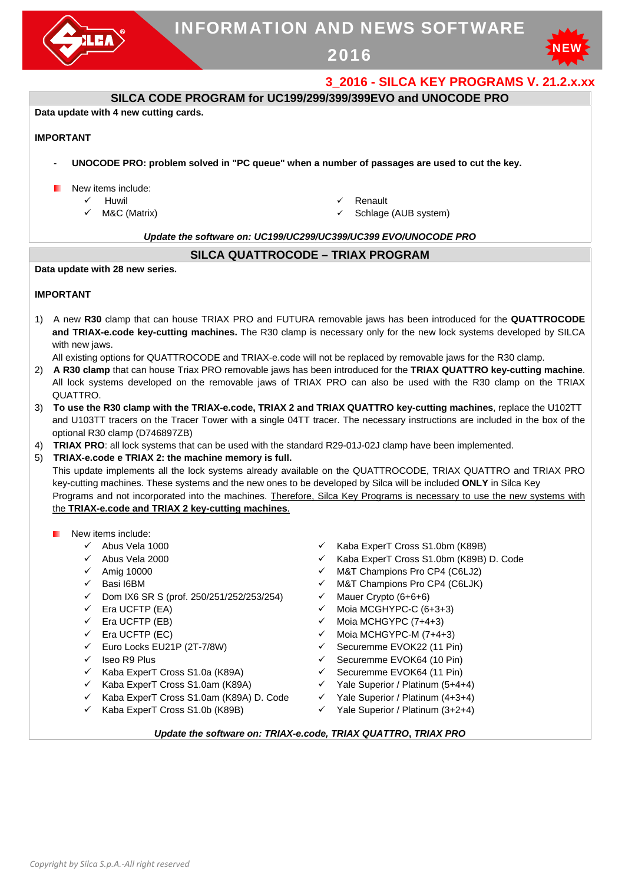

# INFORMATION AND NEWS SOFTWARE

2016



## **3\_2016 - SILCA KEY PROGRAMS V. 21.2.x.xx**

## **SILCA CODE PROGRAM for UC199/299/399/399EVO and UNOCODE PRO**

**Data update with 4 new cutting cards.** 

#### **IMPORTANT**

- **UNOCODE PRO: problem solved in "PC queue" when a number of passages are used to cut the key.**
- New items include:
	- $\checkmark$  Huwil
	- $\checkmark$  M&C (Matrix)
- Renault
- Schlage (AUB system)

#### *Update the software on: UC199/UC299/UC399/UC399 EVO/UNOCODE PRO*

### **SILCA QUATTROCODE – TRIAX PROGRAM**

**Data update with 28 new series.** 

#### **IMPORTANT**

1) A new **R30** clamp that can house TRIAX PRO and FUTURA removable jaws has been introduced for the **QUATTROCODE and TRIAX-e.code key-cutting machines.** The R30 clamp is necessary only for the new lock systems developed by SILCA with new jaws.

All existing options for QUATTROCODE and TRIAX-e.code will not be replaced by removable jaws for the R30 clamp.

- 2) **A R30 clamp** that can house Triax PRO removable jaws has been introduced for the **TRIAX QUATTRO key-cutting machine**. All lock systems developed on the removable jaws of TRIAX PRO can also be used with the R30 clamp on the TRIAX QUATTRO.
- 3) **To use the R30 clamp with the TRIAX-e.code, TRIAX 2 and TRIAX QUATTRO key-cutting machines**, replace the U102TT and U103TT tracers on the Tracer Tower with a single 04TT tracer. The necessary instructions are included in the box of the optional R30 clamp (D746897ZB)
- 4) **TRIAX PRO**: all lock systems that can be used with the standard R29-01J-02J clamp have been implemented.

#### 5) **TRIAX-e.code e TRIAX 2: the machine memory is full.**

This update implements all the lock systems already available on the QUATTROCODE, TRIAX QUATTRO and TRIAX PRO key-cutting machines. These systems and the new ones to be developed by Silca will be included **ONLY** in Silca Key Programs and not incorporated into the machines. Therefore, Silca Key Programs is necessary to use the new systems with the **TRIAX-e.code and TRIAX 2 key-cutting machines**.

#### New items include:

- 
- 
- 
- 
- 
- $\checkmark$  Dom IX6 SR S (prof. 250/251/252/253/254)  $\checkmark$  Mauer Crypto (6+6+6)
- 
- 
- 
- Euro Locks EU21P (2T-7/8W) Securemme EVOK22 (11 Pin)
- 
- V Iseo R9 Plus<br>
V Securemme EVOK64 (10 Pin)<br>
V Securemme FVOK64 (11 Pin)  $\checkmark$  Kaba ExperT Cross S1.0a (K89A)  $\checkmark$  Securemme EVOK64 (11 Pin)
- $\checkmark$  Kaba ExperT Cross S1.0am (K89A)  $\checkmark$  Yale Superior / Platinum (5+4+4)
- $\checkmark$  Kaba ExperT Cross S1.0am (K89A) D. Code  $\checkmark$  Yale Superior / Platinum (4+3+4)
- $\checkmark$  Kaba ExperT Cross S1.0b (K89B)  $\checkmark$  Yale Superior / Platinum (3+2+4)
- Abus Vela 1000 Kaba ExperT Cross S1.0bm (K89B)
- ← Abus Vela 2000 <br>
← Kaba ExperT Cross S1.0bm (K89B) D. Code<br>
← M&T Champions Pro CP4 (C6LJ2)
	- M&T Champions Pro CP4 (C6LJ2)
- ← Basi I6BM M&T Champions Pro CP4 (C6LJK)
	-
- $\checkmark$  Era UCFTP (EA)  $\checkmark$  Moia MCGHYPC-C (6+3+3)
- $\checkmark$  Era UCFTP (EB)  $\checkmark$  Moia MCHGYPC (7+4+3)
- $\checkmark$  Era UCFTP (EC)  $\checkmark$  Moia MCHGYPC-M (7+4+3)
	-
	-
	-
	-
	-
	-

#### *Update the software on: TRIAX-e.code, TRIAX QUATTRO***,** *TRIAX PRO*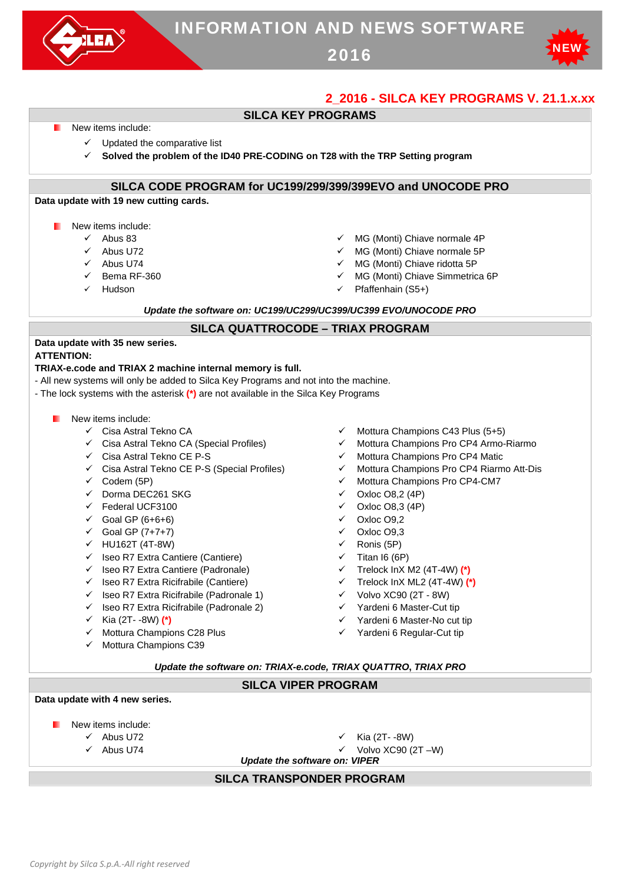



## **2\_2016 - SILCA KEY PROGRAMS V. 21.1.x.xx**



### **Data update with 4 new series.**

- New items include:
	-
	-
	- $\checkmark$  Abus U72  $\checkmark$  Kia (2T--8W)
	- Abus U74 Volvo XC90 (2T –W)

*Update the software on: VIPER*

### **SILCA TRANSPONDER PROGRAM**